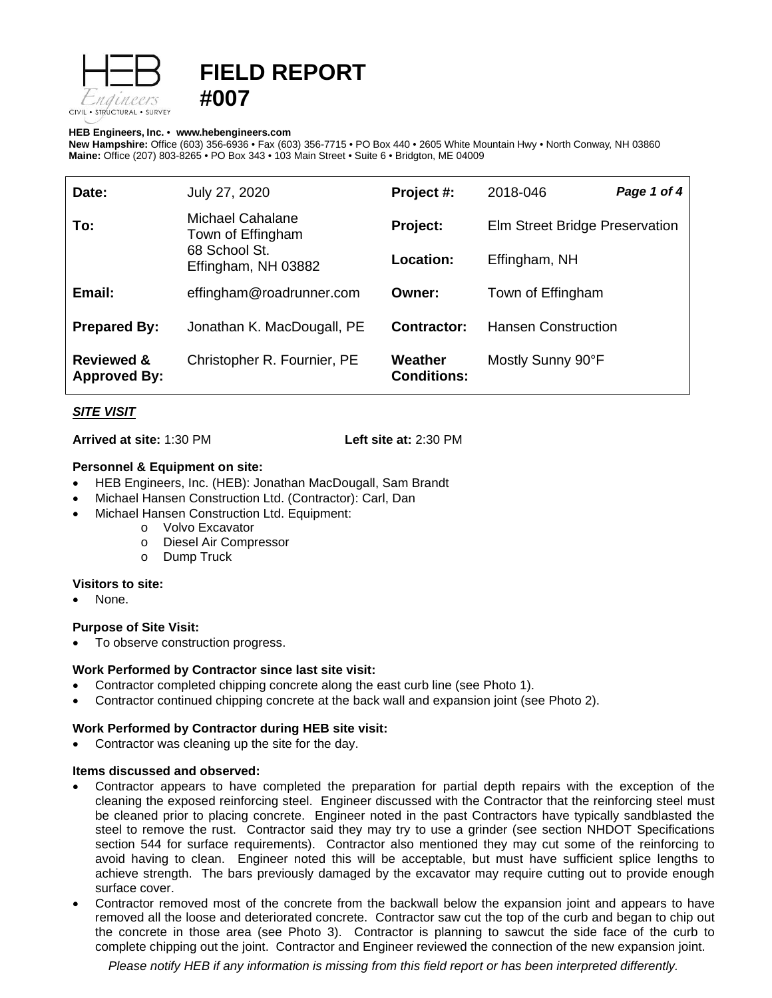

# **FIELD REPORT #007**

#### **HEB Engineers, Inc.** • **[www.hebengineer](http://www.hebengineers.com/)s.com**

**New Hampshire:** Office (603) 356-6936 • Fax (603) 356-7715 • PO Box 440 • 2605 White Mountain Hwy • North Conway, NH 03860 **Maine:** Office (207) 803-8265 • PO Box 343 • 103 Main Street • Suite 6 • Bridgton, ME 04009

| Date:                                        | July 27, 2020                                                                        | Project #:                    | 2018-046                       | Page 1 of 4 |
|----------------------------------------------|--------------------------------------------------------------------------------------|-------------------------------|--------------------------------|-------------|
| To:                                          | <b>Michael Cahalane</b><br>Town of Effingham<br>68 School St.<br>Effingham, NH 03882 | Project:                      | Elm Street Bridge Preservation |             |
|                                              |                                                                                      | Location:                     | Effingham, NH                  |             |
| Email:                                       | effingham@roadrunner.com                                                             | Owner:                        | Town of Effingham              |             |
| <b>Prepared By:</b>                          | Jonathan K. MacDougall, PE                                                           | <b>Contractor:</b>            | <b>Hansen Construction</b>     |             |
| <b>Reviewed &amp;</b><br><b>Approved By:</b> | Christopher R. Fournier, PE                                                          | Weather<br><b>Conditions:</b> | Mostly Sunny 90°F              |             |

# *SITE VISIT*

**Arrived at site:** 1:30 PM **Left site at:** 2:30 PM

## **Personnel & Equipment on site:**

- HEB Engineers, Inc. (HEB): Jonathan MacDougall, Sam Brandt
- Michael Hansen Construction Ltd. (Contractor): Carl, Dan
- Michael Hansen Construction Ltd. Equipment:
	- o Volvo Excavator
	- o Diesel Air Compressor
	- o Dump Truck

### **Visitors to site:**

• None.

# **Purpose of Site Visit:**

To observe construction progress.

# **Work Performed by Contractor since last site visit:**

- Contractor completed chipping concrete along the east curb line (see Photo 1).
- Contractor continued chipping concrete at the back wall and expansion joint (see Photo 2).

### **Work Performed by Contractor during HEB site visit:**

Contractor was cleaning up the site for the day.

### **Items discussed and observed:**

- Contractor appears to have completed the preparation for partial depth repairs with the exception of the cleaning the exposed reinforcing steel. Engineer discussed with the Contractor that the reinforcing steel must be cleaned prior to placing concrete. Engineer noted in the past Contractors have typically sandblasted the steel to remove the rust. Contractor said they may try to use a grinder (see section NHDOT Specifications section 544 for surface requirements). Contractor also mentioned they may cut some of the reinforcing to avoid having to clean. Engineer noted this will be acceptable, but must have sufficient splice lengths to achieve strength. The bars previously damaged by the excavator may require cutting out to provide enough surface cover.
- Contractor removed most of the concrete from the backwall below the expansion joint and appears to have removed all the loose and deteriorated concrete. Contractor saw cut the top of the curb and began to chip out the concrete in those area (see Photo 3). Contractor is planning to sawcut the side face of the curb to complete chipping out the joint. Contractor and Engineer reviewed the connection of the new expansion joint.

*Please notify HEB if any information is missing from this field report or has been interpreted differently.*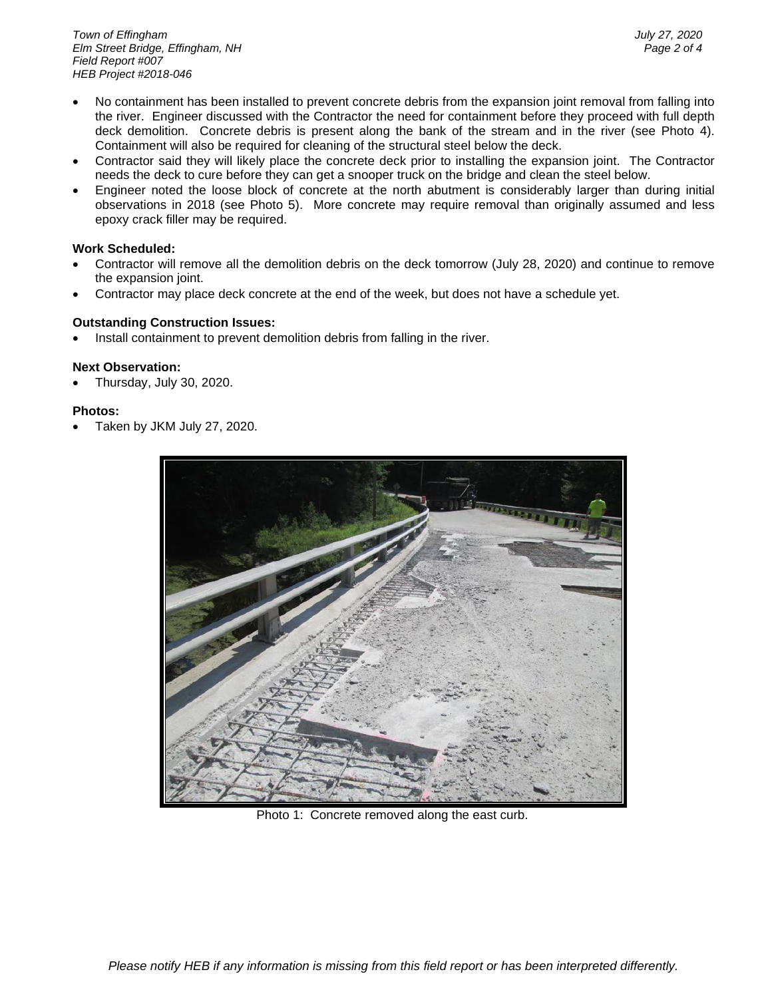*Town of Effingham July 27, 2020 <i>Elm Street Bridge, Effingham, NH Field Report #007 HEB Project #2018-046*

- No containment has been installed to prevent concrete debris from the expansion joint removal from falling into the river. Engineer discussed with the Contractor the need for containment before they proceed with full depth deck demolition. Concrete debris is present along the bank of the stream and in the river (see Photo 4). Containment will also be required for cleaning of the structural steel below the deck.
- Contractor said they will likely place the concrete deck prior to installing the expansion joint. The Contractor needs the deck to cure before they can get a snooper truck on the bridge and clean the steel below.
- Engineer noted the loose block of concrete at the north abutment is considerably larger than during initial observations in 2018 (see Photo 5). More concrete may require removal than originally assumed and less epoxy crack filler may be required.

### **Work Scheduled:**

- Contractor will remove all the demolition debris on the deck tomorrow (July 28, 2020) and continue to remove the expansion joint.
- Contractor may place deck concrete at the end of the week, but does not have a schedule yet.

### **Outstanding Construction Issues:**

Install containment to prevent demolition debris from falling in the river.

#### **Next Observation:**

• Thursday, July 30, 2020.

#### **Photos:**

• Taken by JKM July 27, 2020.



Photo 1: Concrete removed along the east curb.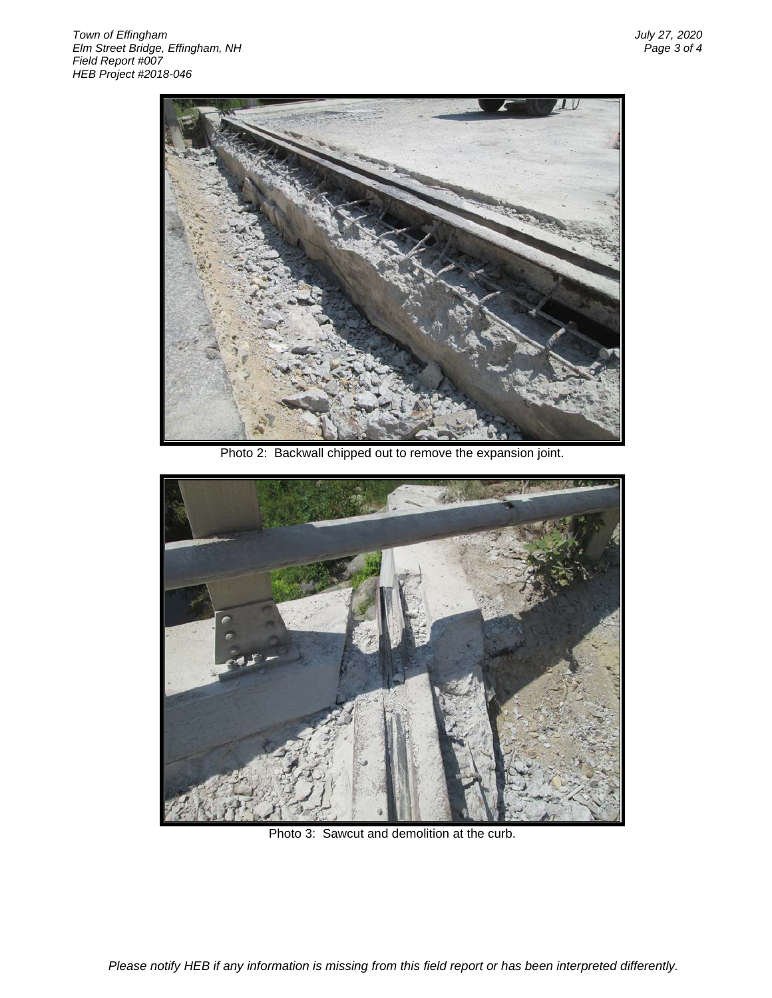

Photo 2: Backwall chipped out to remove the expansion joint.



Photo 3: Sawcut and demolition at the curb.